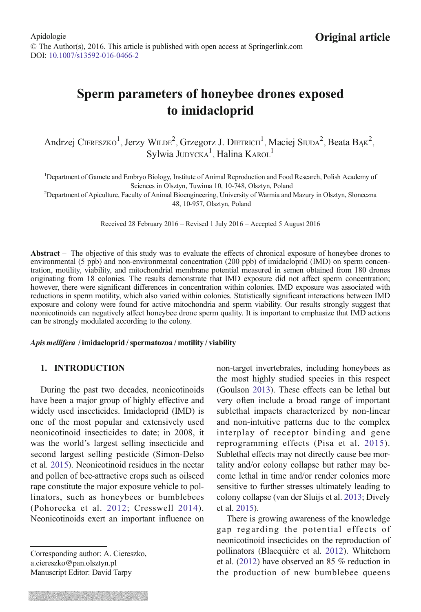# Sperm parameters of honeybee drones exposed to imidacloprid

Andrzej CIERESZKO<sup>1</sup>, Jerzy WILDE<sup>2</sup>, Grzegorz J. DIETRICH<sup>1</sup>, Maciej SIUDA<sup>2</sup>, Beata BĄK<sup>2</sup>, Sylwia JUDYCKA<sup>1</sup>, Halina KAROL<sup>1</sup>

<sup>1</sup>Department of Gamete and Embryo Biology, Institute of Animal Reproduction and Food Research, Polish Academy of

Sciences in Olsztyn, Tuwima 10, 10-748, Olsztyn, Poland <sup>2</sup> Department of Apiculture, Faculty of Animal Bioengineering, University of Warmia and Mazury in Olsztyn, Słoneczna 48, 10-957, Olsztyn, Poland

Received 28 February 2016 – Revised 1 July 2016 – Accepted 5 August 2016

Abstract – The objective of this study was to evaluate the effects of chronical exposure of honeybee drones to environmental (5 ppb) and non-environmental concentration (200 ppb) of imidacloprid (IMD) on sperm concentration, motility, viability, and mitochondrial membrane potential measured in semen obtained from 180 drones originating from 18 colonies. The results demonstrate that IMD exposure did not affect sperm concentration; however, there were significant differences in concentration within colonies. IMD exposure was associated with reductions in sperm motility, which also varied within colonies. Statistically significant interactions between IMD exposure and colony were found for active mitochondria and sperm viability. Our results strongly suggest that neonicotinoids can negatively affect honeybee drone sperm quality. It is important to emphasize that IMD actions can be strongly modulated according to the colony.

#### Apis mellifera / imidacloprid / spermatozoa / motility / viability

## 1. INTRODUCTION

During the past two decades, neonicotinoids have been a major group of highly effective and widely used insecticides. Imidacloprid (IMD) is one of the most popular and extensively used neonicotinoid insecticides to date; in 2008, it was the world's largest selling insecticide and second largest selling pesticide (Simon-Delso et al. [2015\)](#page-11-0). Neonicotinoid residues in the nectar and pollen of bee-attractive crops such as oilseed rape constitute the major exposure vehicle to pollinators, such as honeybees or bumblebees (Pohorecka et al. [2012](#page-10-0); Cresswell [2014](#page-10-0)). Neonicotinoids exert an important influence on

Corresponding author: A. Ciereszko, a.ciereszko@pan.olsztyn.pl Manuscript Editor: David Tarpy

non-target invertebrates, including honeybees as the most highly studied species in this respect (Goulson [2013\)](#page-10-0). These effects can be lethal but very often include a broad range of important sublethal impacts characterized by non-linear and non-intuitive patterns due to the complex interplay of receptor binding and gene reprogramming effects (Pisa et al. [2015](#page-10-0)). Sublethal effects may not directly cause bee mortality and/or colony collapse but rather may become lethal in time and/or render colonies more sensitive to further stresses ultimately leading to colony collapse (van der Sluijs et al. [2013](#page-11-0); Dively et al. [2015](#page-10-0)).

There is growing awareness of the knowledge gap regarding the potential effects of neonicotinoid insecticides on the reproduction of pollinators (Blacquière et al. [2012\)](#page-10-0). Whitehorn et al. [\(2012\)](#page-11-0) have observed an 85 % reduction in the production of new bumblebee queens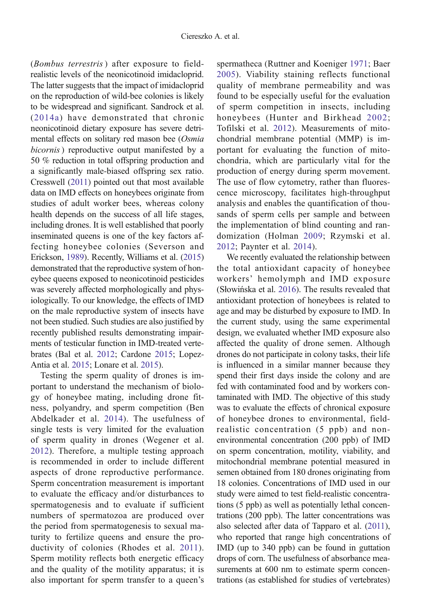(Bombus terrestris ) after exposure to fieldrealistic levels of the neonicotinoid imidacloprid. The latter suggests that the impact of imidacloprid on the reproduction of wild-bee colonies is likely to be widespread and significant. Sandrock et al. ([2014a](#page-11-0)) have demonstrated that chronic neonicotinoid dietary exposure has severe detrimental effects on solitary red mason bee (Osmia bicornis) reproductive output manifested by a 50 % reduction in total offspring production and a significantly male-biased offspring sex ratio. Cresswell [\(2011\)](#page-10-0) pointed out that most available data on IMD effects on honeybees originate from studies of adult worker bees, whereas colony health depends on the success of all life stages, including drones. It is well established that poorly inseminated queens is one of the key factors affecting honeybee colonies (Severson and Erickson, [1989](#page-11-0)). Recently, Williams et al. [\(2015\)](#page-11-0) demonstrated that the reproductive system of honeybee queens exposed to neonicotinoid pesticides was severely affected morphologically and physiologically. To our knowledge, the effects of IMD on the male reproductive system of insects have not been studied. Such studies are also justified by recently published results demonstrating impairments of testicular function in IMD-treated vertebrates (Bal et al. [2012;](#page-10-0) Cardone [2015;](#page-10-0) Lopez-Antia et al. [2015](#page-10-0); Lonare et al. [2015](#page-10-0)).

Testing the sperm quality of drones is important to understand the mechanism of biology of honeybee mating, including drone fitness, polyandry, and sperm competition (Ben Abdelkader et al. [2014\)](#page-10-0). The usefulness of single tests is very limited for the evaluation of sperm quality in drones (Wegener et al. [2012](#page-11-0)). Therefore, a multiple testing approach is recommended in order to include different aspects of drone reproductive performance. Sperm concentration measurement is important to evaluate the efficacy and/or disturbances to spermatogenesis and to evaluate if sufficient numbers of spermatozoa are produced over the period from spermatogenesis to sexual maturity to fertilize queens and ensure the productivity of colonies (Rhodes et al. [2011\)](#page-10-0). Sperm motility reflects both energetic efficacy and the quality of the motility apparatus; it is also important for sperm transfer to a queen's spermatheca (Ruttner and Koeniger [1971](#page-11-0); Baer [2005](#page-9-0)). Viability staining reflects functional quality of membrane permeability and was found to be especially useful for the evaluation of sperm competition in insects, including honeybees (Hunter and Birkhead [2002;](#page-10-0) Tofilski et al. [2012](#page-11-0)). Measurements of mitochondrial membrane potential (MMP) is important for evaluating the function of mitochondria, which are particularly vital for the production of energy during sperm movement. The use of flow cytometry, rather than fluorescence microscopy, facilitates high-throughput analysis and enables the quantification of thousands of sperm cells per sample and between the implementation of blind counting and randomization (Holman [2009;](#page-10-0) Rzymski et al. [2012](#page-11-0); Paynter et al. [2014\)](#page-10-0).

We recently evaluated the relationship between the total antioxidant capacity of honeybee workers' hemolymph and IMD exposure (Słowińska et al. [2016](#page-11-0)). The results revealed that antioxidant protection of honeybees is related to age and may be disturbed by exposure to IMD. In the current study, using the same experimental design, we evaluated whether IMD exposure also affected the quality of drone semen. Although drones do not participate in colony tasks, their life is influenced in a similar manner because they spend their first days inside the colony and are fed with contaminated food and by workers contaminated with IMD. The objective of this study was to evaluate the effects of chronical exposure of honeybee drones to environmental, fieldrealistic concentration (5 ppb) and nonenvironmental concentration (200 ppb) of IMD on sperm concentration, motility, viability, and mitochondrial membrane potential measured in semen obtained from 180 drones originating from 18 colonies. Concentrations of IMD used in our study were aimed to test field-realistic concentrations (5 ppb) as well as potentially lethal concentrations (200 ppb). The latter concentrations was also selected after data of Tapparo et al. ([2011](#page-11-0)), who reported that range high concentrations of IMD (up to 340 ppb) can be found in guttation drops of corn. The usefulness of absorbance measurements at 600 nm to estimate sperm concentrations (as established for studies of vertebrates)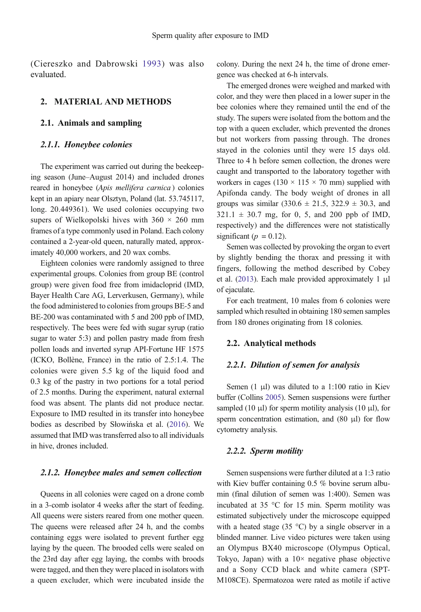(Ciereszko and Dabrowski [1993\)](#page-10-0) was also evaluated.

## 2. MATERIAL AND METHODS

# 2.1. Animals and sampling

#### 2.1.1. Honeybee colonies

The experiment was carried out during the beekeeping season (June–August 2014) and included drones reared in honeybee (Apis mellifera carnica) colonies kept in an apiary near Olsztyn, Poland (lat. 53.745117, long. 20.449361). We used colonies occupying two supers of Wielkopolski hives with  $360 \times 260$  mm frames of a type commonly used in Poland. Each colony contained a 2-year-old queen, naturally mated, approximately 40,000 workers, and 20 wax combs.

Eighteen colonies were randomly assigned to three experimental groups. Colonies from group BE (control group) were given food free from imidacloprid (IMD, Bayer Health Care AG, Lerverkusen, Germany), while the food administered to colonies from groups BE-5 and BE-200 was contaminated with 5 and 200 ppb of IMD, respectively. The bees were fed with sugar syrup (ratio sugar to water 5:3) and pollen pastry made from fresh pollen loads and inverted syrup API-Fortune HF 1575 (ICKO, Bollène, France) in the ratio of 2.5:1.4. The colonies were given 5.5 kg of the liquid food and 0.3 kg of the pastry in two portions for a total period of 2.5 months. During the experiment, natural external food was absent. The plants did not produce nectar. Exposure to IMD resulted in its transfer into honeybee bodies as described by Słowińska et al. [\(2016](#page-11-0)). We assumed that IMD was transferred also to all individuals in hive, drones included.

#### 2.1.2. Honeybee males and semen collection

Queens in all colonies were caged on a drone comb in a 3-comb isolator 4 weeks after the start of feeding. All queens were sisters reared from one mother queen. The queens were released after 24 h, and the combs containing eggs were isolated to prevent further egg laying by the queen. The brooded cells were sealed on the 23rd day after egg laying, the combs with broods were tagged, and then they were placed in isolators with a queen excluder, which were incubated inside the colony. During the next 24 h, the time of drone emergence was checked at 6-h intervals.

The emerged drones were weighed and marked with color, and they were then placed in a lower super in the bee colonies where they remained until the end of the study. The supers were isolated from the bottom and the top with a queen excluder, which prevented the drones but not workers from passing through. The drones stayed in the colonies until they were 15 days old. Three to 4 h before semen collection, the drones were caught and transported to the laboratory together with workers in cages (130  $\times$  115  $\times$  70 mm) supplied with Apifonda candy. The body weight of drones in all groups was similar  $(330.6 \pm 21.5, 322.9 \pm 30.3,$  and  $321.1 \pm 30.7$  mg, for 0, 5, and 200 ppb of IMD, respectively) and the differences were not statistically significant ( $p = 0.12$ ).

Semen was collected by provoking the organ to evert by slightly bending the thorax and pressing it with fingers, following the method described by Cobey et al. ([2013](#page-10-0)). Each male provided approximately 1 μl of ejaculate.

For each treatment, 10 males from 6 colonies were sampled which resulted in obtaining 180 semen samples from 180 drones originating from 18 colonies.

#### 2.2. Analytical methods

#### 2.2.1. Dilution of semen for analysis

Semen  $(1 \mu l)$  was diluted to a 1:100 ratio in Kiev buffer (Collins [2005\)](#page-10-0). Semen suspensions were further sampled (10  $\mu$ l) for sperm motility analysis (10  $\mu$ l), for sperm concentration estimation, and (80 μl) for flow cytometry analysis.

#### 2.2.2. Sperm motility

Semen suspensions were further diluted at a 1:3 ratio with Kiev buffer containing 0.5 % bovine serum albumin (final dilution of semen was 1:400). Semen was incubated at 35 °C for 15 min. Sperm motility was estimated subjectively under the microscope equipped with a heated stage (35  $\degree$ C) by a single observer in a blinded manner. Live video pictures were taken using an Olympus BX40 microscope (Olympus Optical, Tokyo, Japan) with a  $10\times$  negative phase objective and a Sony CCD black and white camera (SPT-M108CE). Spermatozoa were rated as motile if active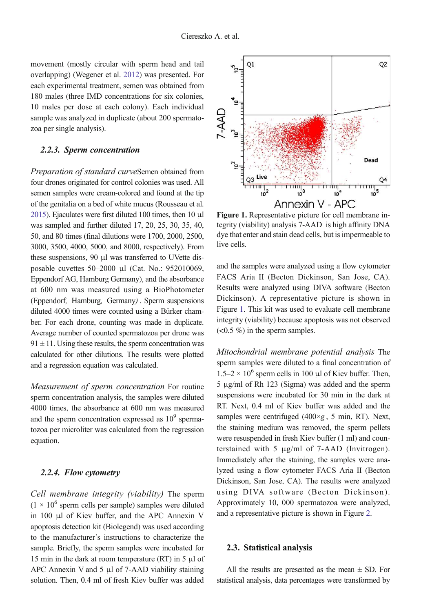movement (mostly circular with sperm head and tail overlapping) (Wegener et al. [2012\)](#page-11-0) was presented. For each experimental treatment, semen was obtained from 180 males (three IMD concentrations for six colonies, 10 males per dose at each colony). Each individual sample was analyzed in duplicate (about 200 spermatozoa per single analysis).

#### 2.2.3. Sperm concentration

Preparation of standard curveSemen obtained from four drones originated for control colonies was used. All semen samples were cream-colored and found at the tip of the genitalia on a bed of white mucus (Rousseau et al. [2015](#page-10-0)). Ejaculates were first diluted 100 times, then 10 μl was sampled and further diluted 17, 20, 25, 30, 35, 40, 50, and 80 times (final dilutions were 1700, 2000, 2500, 3000, 3500, 4000, 5000, and 8000, respectively). From these suspensions, 90 μl was transferred to UVette disposable cuvettes 50–2000 μl (Cat. No.: 952010069, Eppendorf AG, Hamburg Germany), and the absorbance at 600 nm was measured using a BioPhotometer (Eppendorf, Hamburg, Germany). Sperm suspensions diluted 4000 times were counted using a Bürker chamber. For each drone, counting was made in duplicate. Average number of counted spermatozoa per drone was  $91 \pm 11$ . Using these results, the sperm concentration was calculated for other dilutions. The results were plotted and a regression equation was calculated.

Measurement of sperm concentration For routine sperm concentration analysis, the samples were diluted 4000 times, the absorbance at 600 nm was measured and the sperm concentration expressed as  $10<sup>9</sup>$  spermatozoa per microliter was calculated from the regression equation.

#### 2.2.4. Flow cytometry

Cell membrane integrity (viability) The sperm  $(1 \times 10^6$  sperm cells per sample) samples were diluted in 100 μl of Kiev buffer, and the APC Annexin V apoptosis detection kit (Biolegend) was used according to the manufacturer's instructions to characterize the sample. Briefly, the sperm samples were incubated for 15 min in the dark at room temperature (RT) in 5 μl of APC Annexin V and 5 μl of 7-AAD viability staining solution. Then, 0.4 ml of fresh Kiev buffer was added



Figure 1. Representative picture for cell membrane integrity (viability) analysis 7-AAD is high affinity DNA dye that enter and stain dead cells, but is impermeable to live cells.

and the samples were analyzed using a flow cytometer FACS Aria II (Becton Dickinson, San Jose, CA). Results were analyzed using DIVA software (Becton Dickinson). A representative picture is shown in Figure 1. This kit was used to evaluate cell membrane integrity (viability) because apoptosis was not observed  $(<0.5\%$ ) in the sperm samples.

Mitochondrial membrane potential analysis The sperm samples were diluted to a final concentration of  $1.5-2 \times 10^6$  sperm cells in 100 μl of Kiev buffer. Then, 5 μg/ml of Rh 123 (Sigma) was added and the sperm suspensions were incubated for 30 min in the dark at RT. Next, 0.4 ml of Kiev buffer was added and the samples were centrifuged  $(400 \times g, 5 \text{ min}, RT)$ . Next, the staining medium was removed, the sperm pellets were resuspended in fresh Kiev buffer (1 ml) and counterstained with 5 μg/ml of 7-AAD (Invitrogen). Immediately after the staining, the samples were analyzed using a flow cytometer FACS Aria II (Becton Dickinson, San Jose, CA). The results were analyzed using DIVA software (Becton Dickinson). Approximately 10, 000 spermatozoa were analyzed, and a representative picture is shown in Figure [2](#page-4-0).

#### 2.3. Statistical analysis

All the results are presented as the mean  $\pm$  SD. For statistical analysis, data percentages were transformed by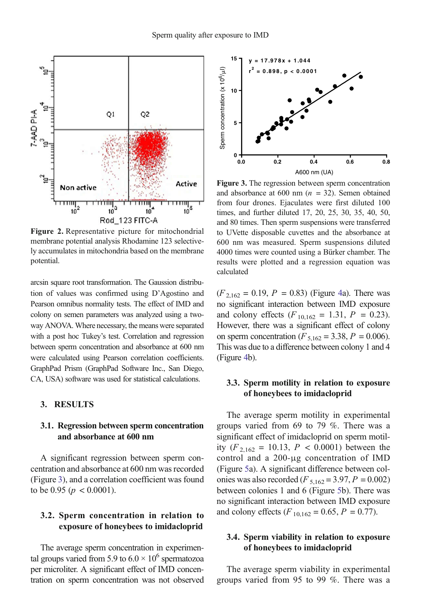<span id="page-4-0"></span>

Figure 2. Representative picture for mitochondrial membrane potential analysis Rhodamine 123 selectively accumulates in mitochondria based on the membrane potential.

arcsin square root transformation. The Gaussion distribution of values was confirmed using D'Agostino and Pearson omnibus normality tests. The effect of IMD and colony on semen parameters was analyzed using a twoway ANOVA. Where necessary, the means were separated with a post hoc Tukey's test. Correlation and regression between sperm concentration and absorbance at 600 nm were calculated using Pearson correlation coefficients. GraphPad Prism (GraphPad Software Inc., San Diego, CA, USA) software was used for statistical calculations.

## 3. RESULTS

## 3.1. Regression between sperm concentration and absorbance at 600 nm

A significant regression between sperm concentration and absorbance at 600 nm was recorded (Figure 3), and a correlation coefficient was found to be 0.95 ( $p < 0.0001$ ).

# 3.2. Sperm concentration in relation to exposure of honeybees to imidacloprid

The average sperm concentration in experimental groups varied from 5.9 to  $6.0 \times 10^6$  spermatozoa per microliter. A significant effect of IMD concentration on sperm concentration was not observed



Figure 3. The regression between sperm concentration and absorbance at 600 nm  $(n = 32)$ . Semen obtained from four drones. Ejaculates were first diluted 100 times, and further diluted 17, 20, 25, 30, 35, 40, 50, and 80 times. Then sperm suspensions were transferred to UVette disposable cuvettes and the absorbance at 600 nm was measured. Sperm suspensions diluted 4000 times were counted using a Bürker chamber. The results were plotted and a regression equation was calculated

 $(F_{2,162} = 0.19, P = 0.83)$  (Figure [4a](#page-5-0)). There was no significant interaction between IMD exposure and colony effects  $(F_{10,162} = 1.31, P = 0.23)$ . However, there was a significant effect of colony on sperm concentration ( $F_{5,162} = 3.38$ ,  $P = 0.006$ ). This was due to a difference between colony 1 and 4 (Figure [4b](#page-5-0)).

# 3.3. Sperm motility in relation to exposure of honeybees to imidacloprid

The average sperm motility in experimental groups varied from 69 to 79 %. There was a significant effect of imidacloprid on sperm motility  $(F_{2,162} = 10.13, P < 0.0001)$  between the control and a 200-μg concentration of IMD (Figure [5a](#page-5-0)). A significant difference between colonies was also recorded ( $F_{5,162} = 3.97, P = 0.002$ ) between colonies 1 and 6 (Figure [5b](#page-5-0)). There was no significant interaction between IMD exposure and colony effects ( $F_{10,162} = 0.65$ ,  $P = 0.77$ ).

# 3.4. Sperm viability in relation to exposure of honeybees to imidacloprid

The average sperm viability in experimental groups varied from 95 to 99 %. There was a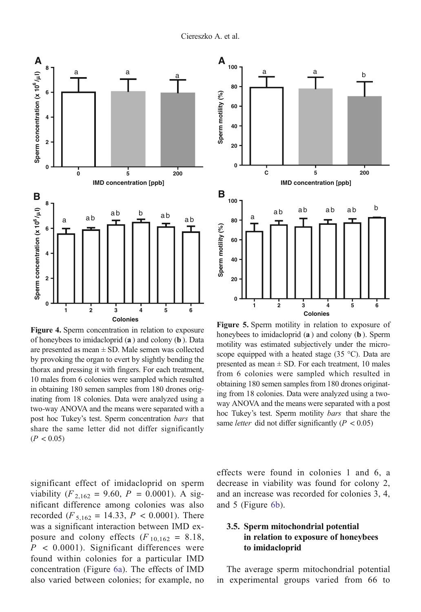<span id="page-5-0"></span>

Figure 4. Sperm concentration in relation to exposure of honeybees to imidacloprid (a ) and colony (b ). Data are presented as mean  $\pm$  SD. Male semen was collected by provoking the organ to evert by slightly bending the thorax and pressing it with fingers. For each treatment, 10 males from 6 colonies were sampled which resulted in obtaining 180 semen samples from 180 drones originating from 18 colonies. Data were analyzed using a two-way ANOVA and the means were separated with a post hoc Tukey's test. Sperm concentration bars that share the same letter did not differ significantly  $(P < 0.05)$ 

significant effect of imidacloprid on sperm viability  $(F_{2,162} = 9.60, P = 0.0001)$ . A significant difference among colonies was also recorded ( $F_{5,162} = 14.33$ ,  $P < 0.0001$ ). There was a significant interaction between IMD exposure and colony effects  $(F_{10,162} = 8.18,$  $P < 0.0001$ ). Significant differences were found within colonies for a particular IMD concentration (Figure [6a\)](#page-6-0). The effects of IMD also varied between colonies; for example, no



Figure 5. Sperm motility in relation to exposure of honeybees to imidacloprid (a ) and colony (b ). Sperm motility was estimated subjectively under the microscope equipped with a heated stage (35 °C). Data are presented as mean  $\pm$  SD. For each treatment, 10 males from 6 colonies were sampled which resulted in obtaining 180 semen samples from 180 drones originating from 18 colonies. Data were analyzed using a twoway ANOVA and the means were separated with a post hoc Tukey's test. Sperm motility bars that share the same *letter* did not differ significantly ( $P < 0.05$ )

effects were found in colonies 1 and 6, a decrease in viability was found for colony 2, and an increase was recorded for colonies 3, 4, and 5 (Figure [6b](#page-6-0)).

# 3.5. Sperm mitochondrial potential in relation to exposure of honeybees to imidacloprid

The average sperm mitochondrial potential in experimental groups varied from 66 to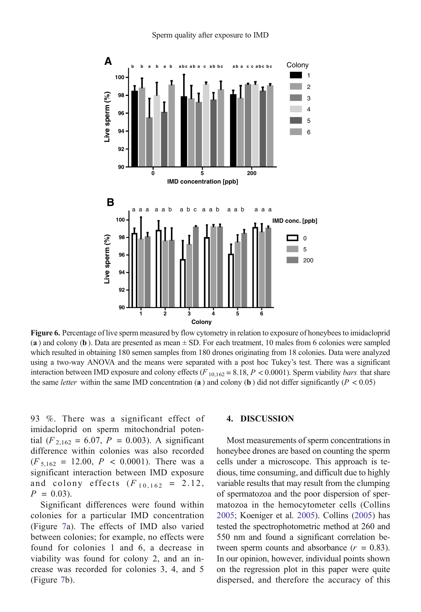<span id="page-6-0"></span>

Figure 6. Percentage of live sperm measured by flow cytometry in relation to exposure of honeybees to imidacloprid (a) and colony (b). Data are presented as mean  $\pm$  SD. For each treatment, 10 males from 6 colonies were sampled which resulted in obtaining 180 semen samples from 180 drones originating from 18 colonies. Data were analyzed using a two-way ANOVA and the means were separated with a post hoc Tukey's test. There was a significant interaction between IMD exposure and colony effects  $(F_{10,162} = 8.18, P < 0.0001)$ . Sperm viability *bars* that share the same *letter* within the same IMD concentration (a) and colony (b) did not differ significantly ( $P < 0.05$ )

93 %. There was a significant effect of imidacloprid on sperm mitochondrial potential ( $F_{2,162} = 6.07$ ,  $P = 0.003$ ). A significant difference within colonies was also recorded  $(F_{\frac{5.162}{}} = 12.00, P < 0.0001)$ . There was a significant interaction between IMD exposure and colony effects  $(F_{10,162} = 2.12)$ ,  $P = 0.03$ ).

Significant differences were found within colonies for a particular IMD concentration (Figure [7a](#page-7-0)). The effects of IMD also varied between colonies; for example, no effects were found for colonies 1 and 6, a decrease in viability was found for colony 2, and an increase was recorded for colonies 3, 4, and 5 (Figure [7](#page-7-0)b).

#### 4. DISCUSSION

Most measurements of sperm concentrations in honeybee drones are based on counting the sperm cells under a microscope. This approach is tedious, time consuming, and difficult due to highly variable results that may result from the clumping of spermatozoa and the poor dispersion of spermatozoa in the hemocytometer cells (Collins [2005;](#page-10-0) Koeniger et al. [2005](#page-10-0)). Collins [\(2005\)](#page-10-0) has tested the spectrophotometric method at 260 and 550 nm and found a significant correlation between sperm counts and absorbance  $(r = 0.83)$ . In our opinion, however, individual points shown on the regression plot in this paper were quite dispersed, and therefore the accuracy of this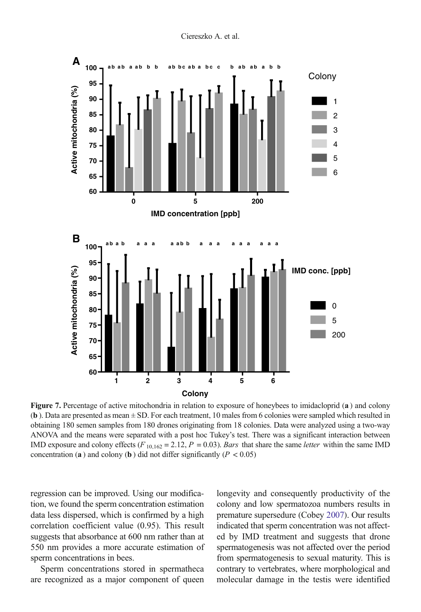<span id="page-7-0"></span>

Figure 7. Percentage of active mitochondria in relation to exposure of honeybees to imidacloprid (a) and colony (b ). Data are presented as mean ± SD. For each treatment, 10 males from 6 colonies were sampled which resulted in obtaining 180 semen samples from 180 drones originating from 18 colonies. Data were analyzed using a two-way ANOVA and the means were separated with a post hoc Tukey's test. There was a significant interaction between IMD exposure and colony effects  $(F_{10,162} = 2.12, P = 0.03)$ . Bars that share the same *letter* within the same IMD concentration (a) and colony (b) did not differ significantly ( $P < 0.05$ )

regression can be improved. Using our modification, we found the sperm concentration estimation data less dispersed, which is confirmed by a high correlation coefficient value (0.95). This result suggests that absorbance at 600 nm rather than at 550 nm provides a more accurate estimation of sperm concentrations in bees.

Sperm concentrations stored in spermatheca are recognized as a major component of queen longevity and consequently productivity of the colony and low spermatozoa numbers results in premature supersedure (Cobey [2007\)](#page-10-0). Our results indicated that sperm concentration was not affected by IMD treatment and suggests that drone spermatogenesis was not affected over the period from spermatogenesis to sexual maturity. This is contrary to vertebrates, where morphological and molecular damage in the testis were identified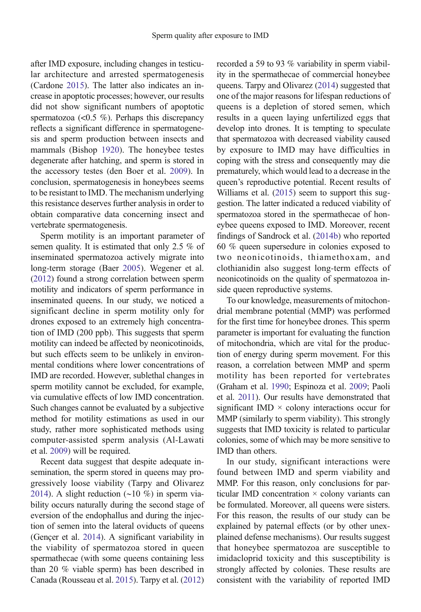after IMD exposure, including changes in testicular architecture and arrested spermatogenesis (Cardone [2015\)](#page-10-0). The latter also indicates an increase in apoptotic processes; however, our results did not show significant numbers of apoptotic spermatozoa  $\left($ <0.5 %). Perhaps this discrepancy reflects a significant difference in spermatogenesis and sperm production between insects and mammals (Bishop [1920\)](#page-10-0). The honeybee testes degenerate after hatching, and sperm is stored in the accessory testes (den Boer et al. [2009\)](#page-10-0). In conclusion, spermatogenesis in honeybees seems to be resistant to IMD. The mechanism underlying this resistance deserves further analysis in order to obtain comparative data concerning insect and vertebrate spermatogenesis.

Sperm motility is an important parameter of semen quality. It is estimated that only 2.5 % of inseminated spermatozoa actively migrate into long-term storage (Baer [2005](#page-9-0)). Wegener et al. [\(2012\)](#page-11-0) found a strong correlation between sperm motility and indicators of sperm performance in inseminated queens. In our study, we noticed a significant decline in sperm motility only for drones exposed to an extremely high concentration of IMD (200 ppb). This suggests that sperm motility can indeed be affected by neonicotinoids, but such effects seem to be unlikely in environmental conditions where lower concentrations of IMD are recorded. However, sublethal changes in sperm motility cannot be excluded, for example, via cumulative effects of low IMD concentration. Such changes cannot be evaluated by a subjective method for motility estimations as used in our study, rather more sophisticated methods using computer-assisted sperm analysis (Al-Lawati et al. [2009](#page-9-0)) will be required.

Recent data suggest that despite adequate insemination, the sperm stored in queens may progressively loose viability (Tarpy and Olivarez [2014\)](#page-11-0). A slight reduction (∼10 %) in sperm viability occurs naturally during the second stage of eversion of the endophallus and during the injection of semen into the lateral oviducts of queens (Gençer et al. [2014\)](#page-10-0). A significant variability in the viability of spermatozoa stored in queen spermathecae (with some queens containing less than 20 % viable sperm) has been described in Canada (Rousseau et al. [2015](#page-10-0)). Tarpy et al. [\(2012\)](#page-11-0) recorded a 59 to 93 % variability in sperm viability in the spermathecae of commercial honeybee queens. Tarpy and Olivarez [\(2014\)](#page-11-0) suggested that one of the major reasons for lifespan reductions of queens is a depletion of stored semen, which results in a queen laying unfertilized eggs that develop into drones. It is tempting to speculate that spermatozoa with decreased viability caused by exposure to IMD may have difficulties in coping with the stress and consequently may die prematurely, which would lead to a decrease in the queen's reproductive potential. Recent results of Williams et al. [\(2015\)](#page-11-0) seem to support this suggestion. The latter indicated a reduced viability of spermatozoa stored in the spermathecae of honeybee queens exposed to IMD. Moreover, recent findings of Sandrock et al. [\(2014b\)](#page-11-0) who reported 60 % queen supersedure in colonies exposed to two neonicotinoids, thiamethoxam, and clothianidin also suggest long-term effects of neonicotinoids on the quality of spermatozoa inside queen reproductive systems.

To our knowledge, measurements of mitochondrial membrane potential (MMP) was performed for the first time for honeybee drones. This sperm parameter is important for evaluating the function of mitochondria, which are vital for the production of energy during sperm movement. For this reason, a correlation between MMP and sperm motility has been reported for vertebrates (Graham et al. [1990;](#page-10-0) Espinoza et al. [2009;](#page-10-0) Paoli et al. [2011\)](#page-10-0). Our results have demonstrated that significant IMD  $\times$  colony interactions occur for MMP (similarly to sperm viability). This strongly suggests that IMD toxicity is related to particular colonies, some of which may be more sensitive to IMD than others.

In our study, significant interactions were found between IMD and sperm viability and MMP. For this reason, only conclusions for particular IMD concentration × colony variants can be formulated. Moreover, all queens were sisters. For this reason, the results of our study can be explained by paternal effects (or by other unexplained defense mechanisms). Our results suggest that honeybee spermatozoa are susceptible to imidacloprid toxicity and this susceptibility is strongly affected by colonies. These results are consistent with the variability of reported IMD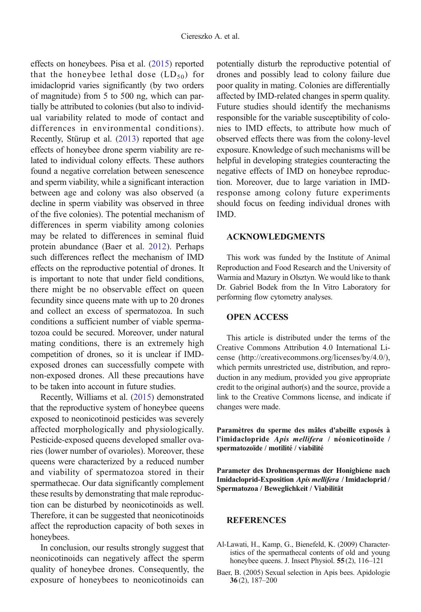<span id="page-9-0"></span>effects on honeybees. Pisa et al. [\(2015\)](#page-10-0) reported that the honeybee lethal dose  $(LD_{50})$  for imidacloprid varies significantly (by two orders of magnitude) from 5 to 500 ng, which can partially be attributed to colonies (but also to individual variability related to mode of contact and differences in environmental conditions). Recently, Stürup et al. ([2013](#page-11-0)) reported that age effects of honeybee drone sperm viability are related to individual colony effects. These authors found a negative correlation between senescence and sperm viability, while a significant interaction between age and colony was also observed (a decline in sperm viability was observed in three of the five colonies). The potential mechanism of differences in sperm viability among colonies may be related to differences in seminal fluid protein abundance (Baer et al. [2012](#page-10-0)). Perhaps such differences reflect the mechanism of IMD effects on the reproductive potential of drones. It is important to note that under field conditions, there might be no observable effect on queen fecundity since queens mate with up to 20 drones and collect an excess of spermatozoa. In such conditions a sufficient number of viable spermatozoa could be secured. Moreover, under natural mating conditions, there is an extremely high competition of drones, so it is unclear if IMDexposed drones can successfully compete with non-exposed drones. All these precautions have to be taken into account in future studies.

Recently, Williams et al. [\(2015](#page-11-0)) demonstrated that the reproductive system of honeybee queens exposed to neonicotinoid pesticides was severely affected morphologically and physiologically. Pesticide-exposed queens developed smaller ovaries (lower number of ovarioles). Moreover, these queens were characterized by a reduced number and viability of spermatozoa stored in their spermathecae. Our data significantly complement these results by demonstrating that male reproduction can be disturbed by neonicotinoids as well. Therefore, it can be suggested that neonicotinoids affect the reproduction capacity of both sexes in honeybees.

In conclusion, our results strongly suggest that neonicotinoids can negatively affect the sperm quality of honeybee drones. Consequently, the exposure of honeybees to neonicotinoids can potentially disturb the reproductive potential of drones and possibly lead to colony failure due poor quality in mating. Colonies are differentially affected by IMD-related changes in sperm quality. Future studies should identify the mechanisms responsible for the variable susceptibility of colonies to IMD effects, to attribute how much of observed effects there was from the colony-level exposure. Knowledge of such mechanisms will be helpful in developing strategies counteracting the negative effects of IMD on honeybee reproduction. Moreover, due to large variation in IMDresponse among colony future experiments should focus on feeding individual drones with IMD.

## ACKNOWLEDGMENTS

This work was funded by the Institute of Animal Reproduction and Food Research and the University of Warmia and Mazury in Olsztyn. We would like to thank Dr. Gabriel Bodek from the In Vitro Laboratory for performing flow cytometry analyses.

## OPEN ACCESS

This article is distributed under the terms of the Creative Commons Attribution 4.0 International License (http://creativecommons.org/licenses/by/4.0/), which permits unrestricted use, distribution, and reproduction in any medium, provided you give appropriate credit to the original author(s) and the source, provide a link to the Creative Commons license, and indicate if changes were made.

Paramètres du sperme des mâles d'abeille exposés à l'imidaclopride Apis mellifera / néonicotinoïde / spermatozoïde / motilité / viabilité

Parameter des Drohnenspermas der Honigbiene nach Imidacloprid-Exposition Apis mellifera / Imidacloprid / Spermatozoa / Beweglichkeit / Viabilität

## **REFERENCES**

- Al-Lawati, H., Kamp, G., Bienefeld, K. (2009) Characteristics of the spermathecal contents of old and young honeybee queens. J. Insect Physiol. **55** (2), 116–121
- Baer, B. (2005) Sexual selection in Apis bees. Apidologie 36 (2), 187–200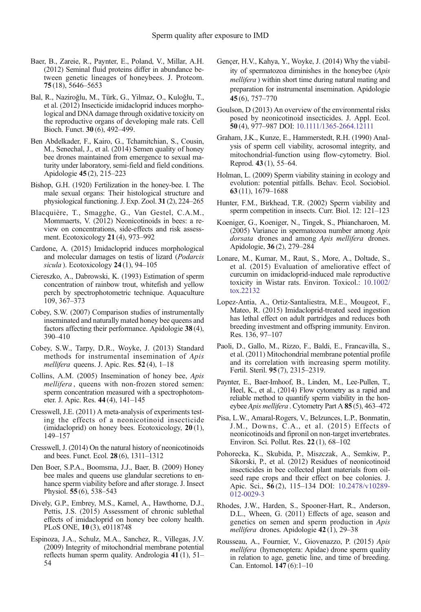- <span id="page-10-0"></span>Baer, B., Zareie, R., Paynter, E., Poland, V., Millar, A.H. (2012) Seminal fluid proteins differ in abundance between genetic lineages of honeybees. J. Proteom. 75 (18), 5646–5653
- Bal, R., Naziroǧlu, M., Türk, G., Yilmaz, O., Kuloǧlu, T., et al. (2012) Insecticide imidacloprid induces morphological and DNA damage through oxidative toxicity on the reproductive organs of developing male rats. Cell Bioch. Funct. 30 (6), 492–499.
- Ben Abdelkader, F., Kairo, G., Tchamitchian, S., Cousin, M., Senechal, J., et al. (2014) Semen quality of honey bee drones maintained from emergence to sexual maturity under laboratory, semi-field and field conditions. Apidologie 45 (2), 215–223
- Bishop, G.H. (1920) Fertilization in the honey-bee. I. The male sexual organs: Their histological structure and physiological functioning. J. Exp. Zool. 31 (2), 224–265
- Blacquière, T., Smagghe, G., Van Gestel, C.A.M., Mommaerts, V. (2012) Neonicotinoids in bees: a review on concentrations, side-effects and risk assessment. Ecotoxicology 21 (4), 973–992
- Cardone, A. (2015) Imidacloprid induces morphological and molecular damages on testis of lizard (Podarcis sicula). Ecotoxicology 24(1), 94-105
- Ciereszko, A., Dabrowski, K. (1993) Estimation of sperm concentration of rainbow trout, whitefish and yellow perch by spectrophotometric technique. Aquaculture 109, 367–373
- Cobey, S.W. (2007) Comparison studies of instrumentally inseminated and naturally mated honey bee queens and factors affecting their performance. Apidologie 38 (4), 390–410
- Cobey, S.W., Tarpy, D.R., Woyke, J. (2013) Standard methods for instrumental insemination of Apis mellifera queens. J. Apic. Res. 52(4), 1-18
- Collins, A.M. (2005) Insemination of honey bee, Apis mellifera , queens with non-frozen stored semen: sperm concentration measured with a spectrophotometer. J. Apic. Res. 44 (4), 141–145
- Cresswell, J.E. (2011) A meta-analysis of experiments testing the effects of a neonicotinoid insecticide (imidacloprid) on honey bees. Ecotoxicology, 20 (1), 149–157
- Cresswell, J. (2014) On the natural history of neonicotinoids and bees. Funct. Ecol. 28 (6), 1311–1312
- Den Boer, S.P.A., Boomsma, J.J., Baer, B. (2009) Honey bee males and queens use glandular secretions to enhance sperm viability before and after storage. J. Insect Physiol. 55 (6), 538–543
- Dively, G.P., Embrey, M.S., Kamel, A., Hawthorne, D.J., Pettis, J.S. (2015) Assessment of chronic sublethal effects of imidacloprid on honey bee colony health. PLoS ONE, 10 (3), e0118748
- Espinoza, J.A., Schulz, M.A., Sanchez, R., Villegas, J.V. (2009) Integrity of mitochondrial membrane potential reflects human sperm quality. Andrologia 41 (1), 51– 54
- Gençer, H.V., Kahya, Y., Woyke, J. (2014) Why the viability of spermatozoa diminishes in the honeybee (Apis mellifera ) within short time during natural mating and preparation for instrumental insemination. Apidologie 45 (6), 757–770
- Goulson, D (2013) An overview of the environmental risks posed by neonicotinoid insecticides. J. Appl. Ecol. 50 (4), 977–987 DOI: [10.1111/1365-2664.12111](http://dx.doi.org/10.1111/1365-2664.12111)
- Graham, J.K., Kunze, E., Hammerstedt, R.H. (1990) Analysis of sperm cell viability, acrosomal integrity, and mitochondrial-function using flow-cytometry. Biol. Reprod. 43 (1), 55–64.
- Holman, L. (2009) Sperm viability staining in ecology and evolution: potential pitfalls. Behav. Ecol. Sociobiol. 63 (11), 1679–1688
- Hunter, F.M., Birkhead, T.R. (2002) Sperm viability and sperm competition in insects. Curr. Biol. 12: 121–123
- Koeniger, G., Koeniger, N., Tingek, S., Phiancharoen, M. (2005) Variance in spermatozoa number among Apis dorsata drones and among Apis mellifera drones. Apidologie, 36 (2), 279–284
- Lonare, M., Kumar, M., Raut, S., More, A., Doltade, S., et al. (2015) Evaluation of ameliorative effect of curcumin on imidacloprid-induced male reproductive toxicity in Wistar rats. Environ. Toxicol.: [10.1002/](http://dx.doi.org/10.1002/tox.22132) [tox.22132](http://dx.doi.org/10.1002/tox.22132)
- Lopez-Antia, A., Ortiz-Santaliestra, M.E., Mougeot, F., Mateo, R. (2015) Imidacloprid-treated seed ingestion has lethal effect on adult partridges and reduces both breeding investment and offspring immunity. Environ. Res. 136, 97–107
- Paoli, D., Gallo, M., Rizzo, F., Baldi, E., Francavilla, S., et al. (2011) Mitochondrial membrane potential profile and its correlation with increasing sperm motility. Fertil. Steril. 95 (7), 2315–2319.
- Paynter, E., Baer-Imhoof, B., Linden, M., Lee-Pullen, T., Heel, K., et al., (2014) Flow cytometry as a rapid and reliable method to quantify sperm viability in the honeybee Apis mellifera . Cytometry Part A 85 (5), 463–472
- Pisa, L.W., Amaral-Rogers, V., Belzunces, L.P., Bonmatin, J.M., Downs, C.A., et al. (2015) Effects of neonicotinoids and fipronil on non-target invertebrates. Environ. Sci. Pollut. Res. 22 (1), 68–102
- Pohorecka, K., Skubida, P., Miszczak, A., Semkiw, P., Sikorski, P., et al. (2012) Residues of neonicotinoid insecticides in bee collected plant materials from oilseed rape crops and their effect on bee colonies. J. Apic. Sci., 56 (2), 115–134 DOI: [10.2478/v10289-](http://dx.doi.org/10.2478/v10289-012-0029-3) [012-0029-3](http://dx.doi.org/10.2478/v10289-012-0029-3)
- Rhodes, J.W., Harden, S., Spooner-Hart, R., Anderson, D.L., Wheen, G. (2011) Effects of age, season and genetics on semen and sperm production in Apis mellifera drones. Apidologie 42 (1), 29-38
- Rousseau, A., Fournier, V., Giovenazzo, P. (2015) Apis mellifera (hymenoptera: Apidae) drone sperm quality in relation to age, genetic line, and time of breeding. Can. Entomol. 147 (6):1–10